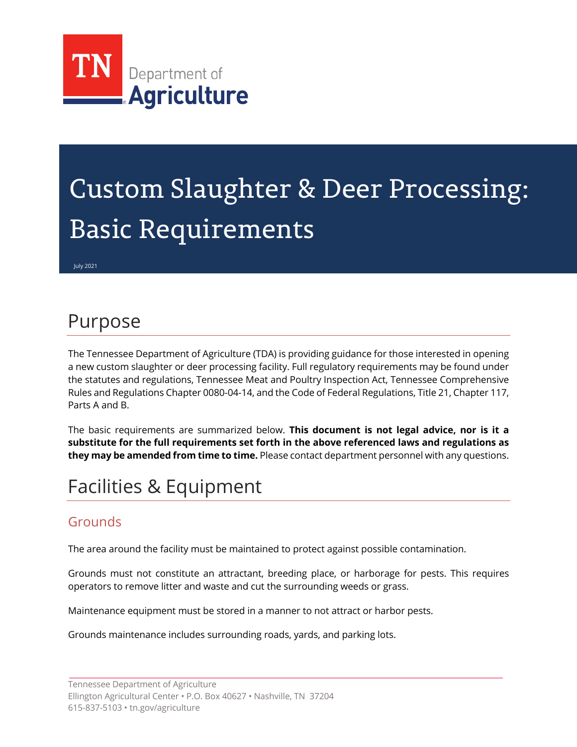

# Custom Slaughter & Deer Processing: Basic Requirements

July 2021

### Purpose

The Tennessee Department of Agriculture (TDA) is providing guidance for those interested in opening a new custom slaughter or deer processing facility. Full regulatory requirements may be found under the statutes and regulations, Tennessee Meat and Poultry Inspection Act, Tennessee Comprehensive Rules and Regulations Chapter 0080-04-14, and the Code of Federal Regulations, Title 21, Chapter 117, Parts A and B.

The basic requirements are summarized below. **This document is not legal advice, nor is it a substitute for the full requirements set forth in the above referenced laws and regulations as they may be amended from time to time.** Please contact department personnel with any questions.

# Facilities & Equipment

#### Grounds

The area around the facility must be maintained to protect against possible contamination.

Grounds must not constitute an attractant, breeding place, or harborage for pests. This requires operators to remove litter and waste and cut the surrounding weeds or grass.

Maintenance equipment must be stored in a manner to not attract or harbor pests.

Grounds maintenance includes surrounding roads, yards, and parking lots.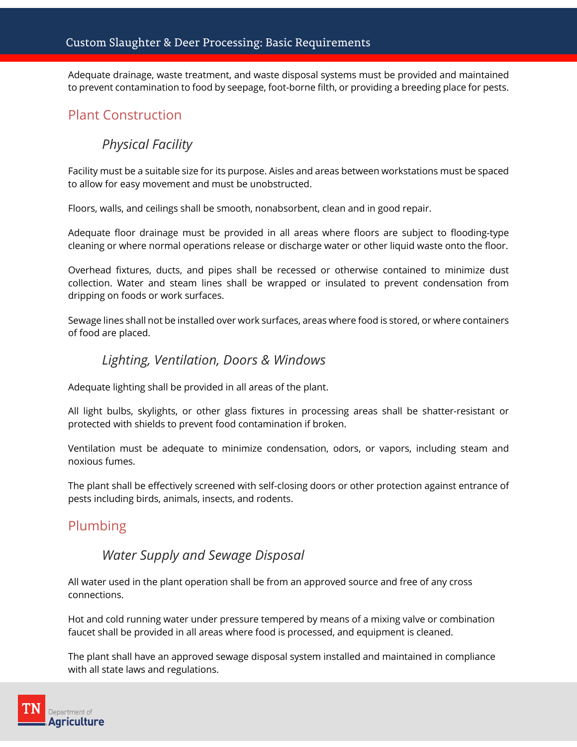Adequate drainage, waste treatment, and waste disposal systems must be provided and maintained to prevent contamination to food by seepage, foot-borne filth, or providing a breeding place for pests.

#### Plant Construction

#### *Physical Facility*

Facility must be a suitable size for its purpose. Aisles and areas between workstations must be spaced to allow for easy movement and must be unobstructed.

Floors, walls, and ceilings shall be smooth, nonabsorbent, clean and in good repair.

Adequate floor drainage must be provided in all areas where floors are subject to flooding-type cleaning or where normal operations release or discharge water or other liquid waste onto the floor.

Overhead fixtures, ducts, and pipes shall be recessed or otherwise contained to minimize dust collection. Water and steam lines shall be wrapped or insulated to prevent condensation from dripping on foods or work surfaces.

Sewage lines shall not be installed over work surfaces, areas where food is stored, or where containers of food are placed.

#### *Lighting, Ventilation, Doors & Windows*

Adequate lighting shall be provided in all areas of the plant.

All light bulbs, skylights, or other glass fixtures in processing areas shall be shatter-resistant or protected with shields to prevent food contamination if broken.

Ventilation must be adequate to minimize condensation, odors, or vapors, including steam and noxious fumes.

The plant shall be effectively screened with self-closing doors or other protection against entrance of pests including birds, animals, insects, and rodents.

#### Plumbing

#### *Water Supply and Sewage Disposal*

All water used in the plant operation shall be from an approved source and free of any cross connections.

Hot and cold running water under pressure tempered by means of a mixing valve or combination faucet shall be provided in all areas where food is processed, and equipment is cleaned.

The plant shall have an approved sewage disposal system installed and maintained in compliance with all state laws and regulations.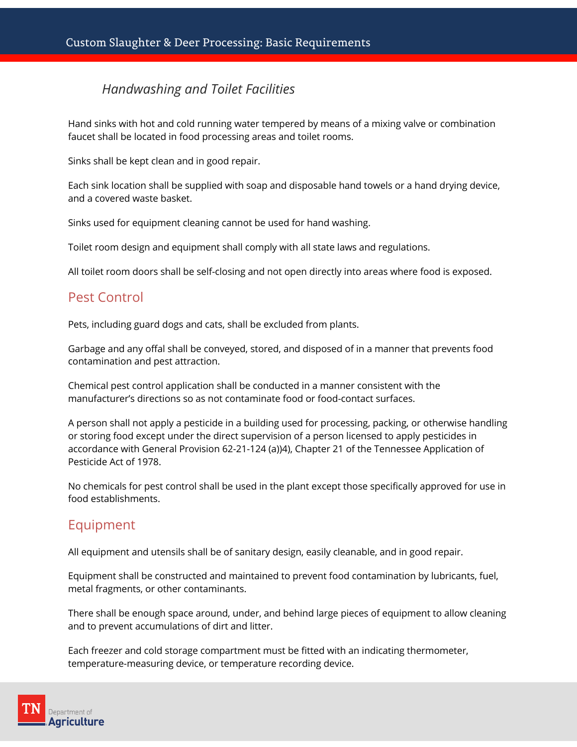#### *Handwashing and Toilet Facilities*

Hand sinks with hot and cold running water tempered by means of a mixing valve or combination faucet shall be located in food processing areas and toilet rooms.

Sinks shall be kept clean and in good repair.

Each sink location shall be supplied with soap and disposable hand towels or a hand drying device, and a covered waste basket.

Sinks used for equipment cleaning cannot be used for hand washing.

Toilet room design and equipment shall comply with all state laws and regulations.

All toilet room doors shall be self-closing and not open directly into areas where food is exposed.

#### Pest Control

Pets, including guard dogs and cats, shall be excluded from plants.

Garbage and any offal shall be conveyed, stored, and disposed of in a manner that prevents food contamination and pest attraction.

Chemical pest control application shall be conducted in a manner consistent with the manufacturer's directions so as not contaminate food or food-contact surfaces.

A person shall not apply a pesticide in a building used for processing, packing, or otherwise handling or storing food except under the direct supervision of a person licensed to apply pesticides in accordance with General Provision 62-21-124 (a))4), Chapter 21 of the Tennessee Application of Pesticide Act of 1978.

No chemicals for pest control shall be used in the plant except those specifically approved for use in food establishments.

#### Equipment

All equipment and utensils shall be of sanitary design, easily cleanable, and in good repair.

Equipment shall be constructed and maintained to prevent food contamination by lubricants, fuel, metal fragments, or other contaminants.

There shall be enough space around, under, and behind large pieces of equipment to allow cleaning and to prevent accumulations of dirt and litter.

Each freezer and cold storage compartment must be fitted with an indicating thermometer, temperature-measuring device, or temperature recording device.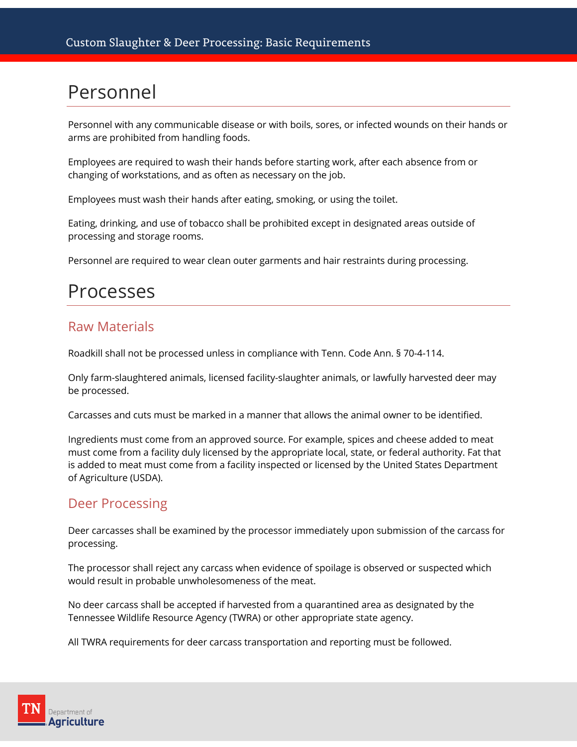### Personnel

Personnel with any communicable disease or with boils, sores, or infected wounds on their hands or arms are prohibited from handling foods.

Employees are required to wash their hands before starting work, after each absence from or changing of workstations, and as often as necessary on the job.

Employees must wash their hands after eating, smoking, or using the toilet.

Eating, drinking, and use of tobacco shall be prohibited except in designated areas outside of processing and storage rooms.

Personnel are required to wear clean outer garments and hair restraints during processing.

### Processes

#### Raw Materials

Roadkill shall not be processed unless in compliance with Tenn. Code Ann. § 70-4-114.

Only farm-slaughtered animals, licensed facility-slaughter animals, or lawfully harvested deer may be processed.

Carcasses and cuts must be marked in a manner that allows the animal owner to be identified.

Ingredients must come from an approved source. For example, spices and cheese added to meat must come from a facility duly licensed by the appropriate local, state, or federal authority. Fat that is added to meat must come from a facility inspected or licensed by the United States Department of Agriculture (USDA).

#### Deer Processing

Deer carcasses shall be examined by the processor immediately upon submission of the carcass for processing.

The processor shall reject any carcass when evidence of spoilage is observed or suspected which would result in probable unwholesomeness of the meat.

No deer carcass shall be accepted if harvested from a quarantined area as designated by the Tennessee Wildlife Resource Agency (TWRA) or other appropriate state agency.

All TWRA requirements for deer carcass transportation and reporting must be followed.